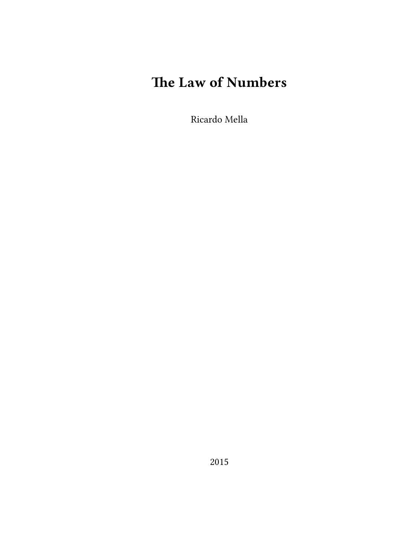# **The Law of Numbers**

Ricardo Mella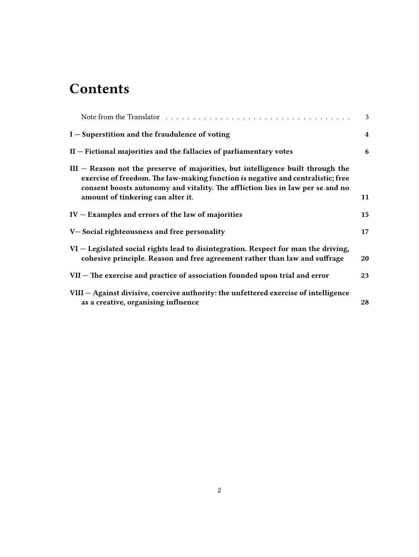## **Contents**

|                                                                                                                                                                                                                                                                                             | 3              |
|---------------------------------------------------------------------------------------------------------------------------------------------------------------------------------------------------------------------------------------------------------------------------------------------|----------------|
| $I$ – Superstition and the fraudulence of voting                                                                                                                                                                                                                                            | $\overline{4}$ |
| $II$ – Fictional majorities and the fallacies of parliamentary votes                                                                                                                                                                                                                        | 6              |
| $III$ – Reason not the preserve of majorities, but intelligence built through the<br>exercise of freedom. The law-making function is negative and centralistic; free<br>consent boosts autonomy and vitality. The affliction lies in law per se and no<br>amount of tinkering can alter it. | 11             |
| $IV - Examples$ and errors of the law of majorities                                                                                                                                                                                                                                         | 15             |
| V-Social righteousness and free personality                                                                                                                                                                                                                                                 | 17             |
| VI – Legislated social rights lead to disintegration. Respect for man the driving,<br>cohesive principle. Reason and free agreement rather than law and suffrage                                                                                                                            | 20             |
| VII – The exercise and practice of association founded upon trial and error                                                                                                                                                                                                                 | 23             |
| VIII - Against divisive, coercive authority: the unfettered exercise of intelligence<br>as a creative, organising influence                                                                                                                                                                 | 28             |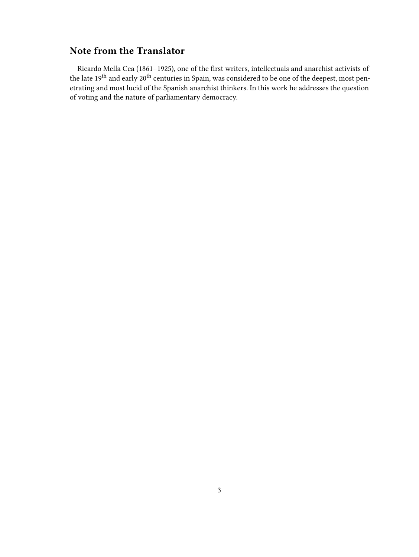#### <span id="page-2-0"></span>**Note from the Translator**

Ricardo Mella Cea (1861–1925), one of the first writers, intellectuals and anarchist activists of the late 19<sup>th</sup> and early 20<sup>th</sup> centuries in Spain, was considered to be one of the deepest, most penetrating and most lucid of the Spanish anarchist thinkers. In this work he addresses the question of voting and the nature of parliamentary democracy.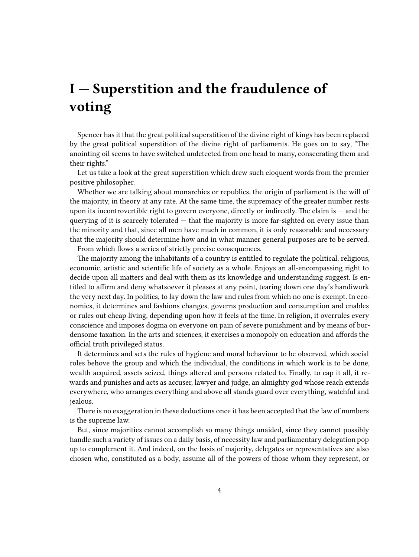### <span id="page-3-0"></span>**I — Superstition and the fraudulence of voting**

Spencer has it that the great political superstition of the divine right of kings has been replaced by the great political superstition of the divine right of parliaments. He goes on to say, "The anointing oil seems to have switched undetected from one head to many, consecrating them and their rights."

Let us take a look at the great superstition which drew such eloquent words from the premier positive philosopher.

Whether we are talking about monarchies or republics, the origin of parliament is the will of the majority, in theory at any rate. At the same time, the supremacy of the greater number rests upon its incontrovertible right to govern everyone, directly or indirectly. The claim is — and the querying of it is scarcely tolerated  $-$  that the majority is more far-sighted on every issue than the minority and that, since all men have much in common, it is only reasonable and necessary that the majority should determine how and in what manner general purposes are to be served.

From which flows a series of strictly precise consequences.

The majority among the inhabitants of a country is entitled to regulate the political, religious, economic, artistic and scientific life of society as a whole. Enjoys an all-encompassing right to decide upon all matters and deal with them as its knowledge and understanding suggest. Is entitled to affirm and deny whatsoever it pleases at any point, tearing down one day's handiwork the very next day. In politics, to lay down the law and rules from which no one is exempt. In economics, it determines and fashions changes, governs production and consumption and enables or rules out cheap living, depending upon how it feels at the time. In religion, it overrules every conscience and imposes dogma on everyone on pain of severe punishment and by means of burdensome taxation. In the arts and sciences, it exercises a monopoly on education and affords the official truth privileged status.

It determines and sets the rules of hygiene and moral behaviour to be observed, which social roles behove the group and which the individual, the conditions in which work is to be done, wealth acquired, assets seized, things altered and persons related to. Finally, to cap it all, it rewards and punishes and acts as accuser, lawyer and judge, an almighty god whose reach extends everywhere, who arranges everything and above all stands guard over everything, watchful and jealous.

There is no exaggeration in these deductions once it has been accepted that the law of numbers is the supreme law.

But, since majorities cannot accomplish so many things unaided, since they cannot possibly handle such a variety of issues on a daily basis, of necessity law and parliamentary delegation pop up to complement it. And indeed, on the basis of majority, delegates or representatives are also chosen who, constituted as a body, assume all of the powers of those whom they represent, or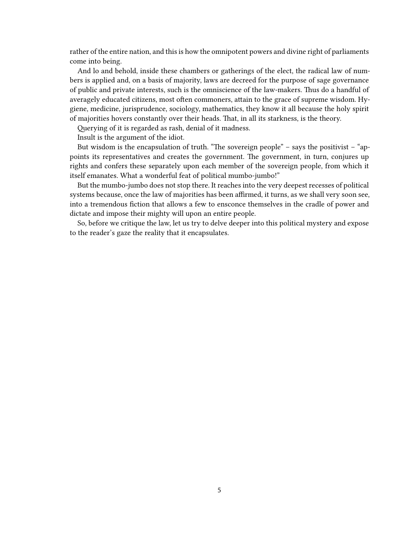rather of the entire nation, and this is how the omnipotent powers and divine right of parliaments come into being.

And lo and behold, inside these chambers or gatherings of the elect, the radical law of numbers is applied and, on a basis of majority, laws are decreed for the purpose of sage governance of public and private interests, such is the omniscience of the law-makers. Thus do a handful of averagely educated citizens, most often commoners, attain to the grace of supreme wisdom. Hygiene, medicine, jurisprudence, sociology, mathematics, they know it all because the holy spirit of majorities hovers constantly over their heads. That, in all its starkness, is the theory.

Querying of it is regarded as rash, denial of it madness.

Insult is the argument of the idiot.

But wisdom is the encapsulation of truth. "The sovereign people" – says the positivist – "appoints its representatives and creates the government. The government, in turn, conjures up rights and confers these separately upon each member of the sovereign people, from which it itself emanates. What a wonderful feat of political mumbo-jumbo!"

But the mumbo-jumbo does not stop there. It reaches into the very deepest recesses of political systems because, once the law of majorities has been affirmed, it turns, as we shall very soon see, into a tremendous fiction that allows a few to ensconce themselves in the cradle of power and dictate and impose their mighty will upon an entire people.

So, before we critique the law, let us try to delve deeper into this political mystery and expose to the reader's gaze the reality that it encapsulates.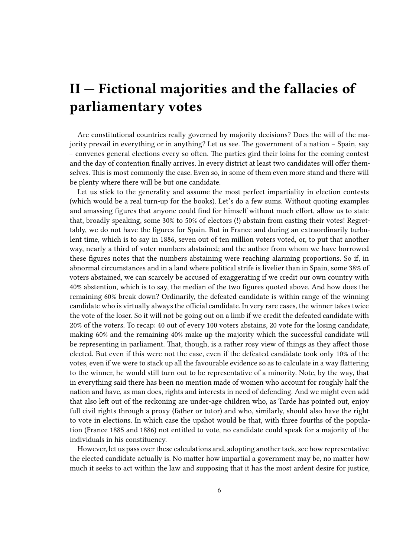#### <span id="page-5-0"></span>**II — Fictional majorities and the fallacies of parliamentary votes**

Are constitutional countries really governed by majority decisions? Does the will of the majority prevail in everything or in anything? Let us see. The government of a nation – Spain, say – convenes general elections every so often. The parties gird their loins for the coming contest and the day of contention finally arrives. In every district at least two candidates will offer themselves. This is most commonly the case. Even so, in some of them even more stand and there will be plenty where there will be but one candidate.

Let us stick to the generality and assume the most perfect impartiality in election contests (which would be a real turn-up for the books). Let's do a few sums. Without quoting examples and amassing figures that anyone could find for himself without much effort, allow us to state that, broadly speaking, some 30% to 50% of electors (!) abstain from casting their votes! Regrettably, we do not have the figures for Spain. But in France and during an extraordinarily turbulent time, which is to say in 1886, seven out of ten million voters voted, or, to put that another way, nearly a third of voter numbers abstained; and the author from whom we have borrowed these figures notes that the numbers abstaining were reaching alarming proportions. So if, in abnormal circumstances and in a land where political strife is livelier than in Spain, some 38% of voters abstained, we can scarcely be accused of exaggerating if we credit our own country with 40% abstention, which is to say, the median of the two figures quoted above. And how does the remaining 60% break down? Ordinarily, the defeated candidate is within range of the winning candidate who is virtually always the official candidate. In very rare cases, the winner takes twice the vote of the loser. So it will not be going out on a limb if we credit the defeated candidate with 20% of the voters. To recap: 40 out of every 100 voters abstains, 20 vote for the losing candidate, making 60% and the remaining 40% make up the majority which the successful candidate will be representing in parliament. That, though, is a rather rosy view of things as they affect those elected. But even if this were not the case, even if the defeated candidate took only 10% of the votes, even if we were to stack up all the favourable evidence so as to calculate in a way flattering to the winner, he would still turn out to be representative of a minority. Note, by the way, that in everything said there has been no mention made of women who account for roughly half the nation and have, as man does, rights and interests in need of defending. And we might even add that also left out of the reckoning are under-age children who, as Tarde has pointed out, enjoy full civil rights through a proxy (father or tutor) and who, similarly, should also have the right to vote in elections. In which case the upshot would be that, with three fourths of the population (France 1885 and 1886) not entitled to vote, no candidate could speak for a majority of the individuals in his constituency.

However, let us pass over these calculations and, adopting another tack, see how representative the elected candidate actually is. No matter how impartial a government may be, no matter how much it seeks to act within the law and supposing that it has the most ardent desire for justice,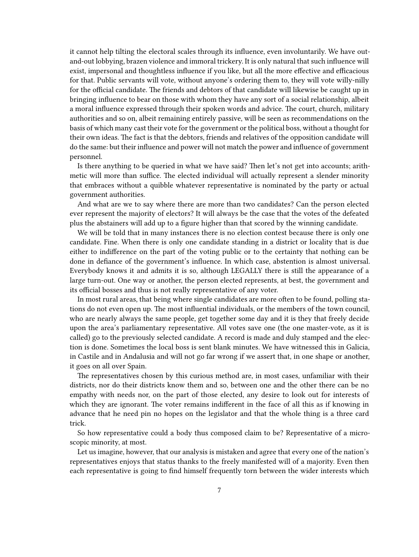it cannot help tilting the electoral scales through its influence, even involuntarily. We have outand-out lobbying, brazen violence and immoral trickery. It is only natural that such influence will exist, impersonal and thoughtless influence if you like, but all the more effective and efficacious for that. Public servants will vote, without anyone's ordering them to, they will vote willy-nilly for the official candidate. The friends and debtors of that candidate will likewise be caught up in bringing influence to bear on those with whom they have any sort of a social relationship, albeit a moral influence expressed through their spoken words and advice. The court, church, military authorities and so on, albeit remaining entirely passive, will be seen as recommendations on the basis of which many cast their vote for the government or the political boss, without a thought for their own ideas. The fact is that the debtors, friends and relatives of the opposition candidate will do the same: but their influence and power will not match the power and influence of government personnel.

Is there anything to be queried in what we have said? Then let's not get into accounts; arithmetic will more than suffice. The elected individual will actually represent a slender minority that embraces without a quibble whatever representative is nominated by the party or actual government authorities.

And what are we to say where there are more than two candidates? Can the person elected ever represent the majority of electors? It will always be the case that the votes of the defeated plus the abstainers will add up to a figure higher than that scored by the winning candidate.

We will be told that in many instances there is no election contest because there is only one candidate. Fine. When there is only one candidate standing in a district or locality that is due either to indifference on the part of the voting public or to the certainty that nothing can be done in defiance of the government's influence. In which case, abstention is almost universal. Everybody knows it and admits it is so, although LEGALLY there is still the appearance of a large turn-out. One way or another, the person elected represents, at best, the government and its official bosses and thus is not really representative of any voter.

In most rural areas, that being where single candidates are more often to be found, polling stations do not even open up. The most influential individuals, or the members of the town council, who are nearly always the same people, get together some day and it is they that freely decide upon the area's parliamentary representative. All votes save one (the one master-vote, as it is called) go to the previously selected candidate. A record is made and duly stamped and the election is done. Sometimes the local boss is sent blank minutes. We have witnessed this in Galicia, in Castile and in Andalusia and will not go far wrong if we assert that, in one shape or another, it goes on all over Spain.

The representatives chosen by this curious method are, in most cases, unfamiliar with their districts, nor do their districts know them and so, between one and the other there can be no empathy with needs nor, on the part of those elected, any desire to look out for interests of which they are ignorant. The voter remains indifferent in the face of all this as if knowing in advance that he need pin no hopes on the legislator and that the whole thing is a three card trick.

So how representative could a body thus composed claim to be? Representative of a microscopic minority, at most.

Let us imagine, however, that our analysis is mistaken and agree that every one of the nation's representatives enjoys that status thanks to the freely manifested will of a majority. Even then each representative is going to find himself frequently torn between the wider interests which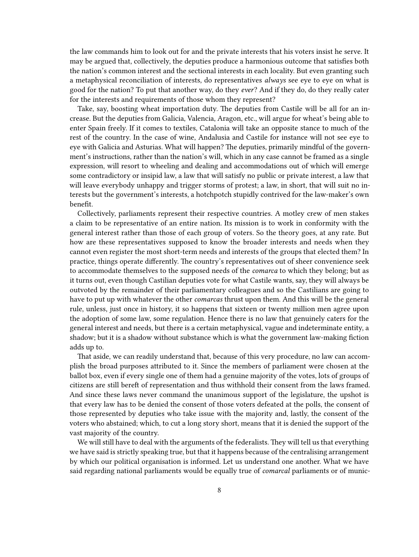the law commands him to look out for and the private interests that his voters insist he serve. It may be argued that, collectively, the deputies produce a harmonious outcome that satisfies both the nation's common interest and the sectional interests in each locality. But even granting such a metaphysical reconciliation of interests, do representatives *always* see eye to eye on what is good for the nation? To put that another way, do they *ever*? And if they do, do they really cater for the interests and requirements of those whom they represent?

Take, say, boosting wheat importation duty. The deputies from Castile will be all for an increase. But the deputies from Galicia, Valencia, Aragon, etc., will argue for wheat's being able to enter Spain freely. If it comes to textiles, Catalonia will take an opposite stance to much of the rest of the country. In the case of wine, Andalusia and Castile for instance will not see eye to eye with Galicia and Asturias. What will happen? The deputies, primarily mindful of the government's instructions, rather than the nation's will, which in any case cannot be framed as a single expression, will resort to wheeling and dealing and accommodations out of which will emerge some contradictory or insipid law, a law that will satisfy no public or private interest, a law that will leave everybody unhappy and trigger storms of protest; a law, in short, that will suit no interests but the government's interests, a hotchpotch stupidly contrived for the law-maker's own benefit.

Collectively, parliaments represent their respective countries. A motley crew of men stakes a claim to be representative of an entire nation. Its mission is to work in conformity with the general interest rather than those of each group of voters. So the theory goes, at any rate. But how are these representatives supposed to know the broader interests and needs when they cannot even register the most short-term needs and interests of the groups that elected them? In practice, things operate differently. The country's representatives out of sheer convenience seek to accommodate themselves to the supposed needs of the *comarca* to which they belong; but as it turns out, even though Castilian deputies vote for what Castile wants, say, they will always be outvoted by the remainder of their parliamentary colleagues and so the Castilians are going to have to put up with whatever the other *comarcas* thrust upon them. And this will be the general rule, unless, just once in history, it so happens that sixteen or twenty million men agree upon the adoption of some law, some regulation. Hence there is no law that genuinely caters for the general interest and needs, but there is a certain metaphysical, vague and indeterminate entity, a shadow; but it is a shadow without substance which is what the government law-making fiction adds up to.

That aside, we can readily understand that, because of this very procedure, no law can accomplish the broad purposes attributed to it. Since the members of parliament were chosen at the ballot box, even if every single one of them had a genuine majority of the votes, lots of groups of citizens are still bereft of representation and thus withhold their consent from the laws framed. And since these laws never command the unanimous support of the legislature, the upshot is that every law has to be denied the consent of those voters defeated at the polls, the consent of those represented by deputies who take issue with the majority and, lastly, the consent of the voters who abstained; which, to cut a long story short, means that it is denied the support of the vast majority of the country.

We will still have to deal with the arguments of the federalists. They will tell us that everything we have said is strictly speaking true, but that it happens because of the centralising arrangement by which our political organisation is informed. Let us understand one another. What we have said regarding national parliaments would be equally true of *comarcal* parliaments or of munic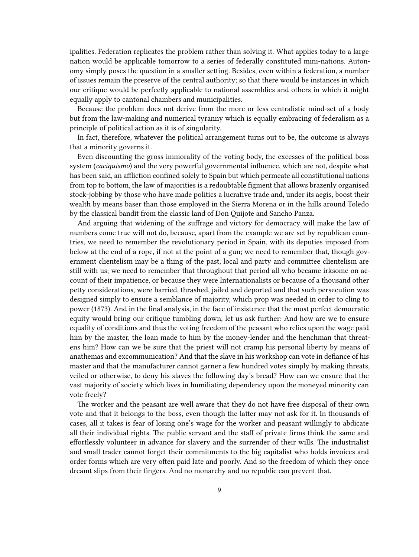ipalities. Federation replicates the problem rather than solving it. What applies today to a large nation would be applicable tomorrow to a series of federally constituted mini-nations. Autonomy simply poses the question in a smaller setting. Besides, even within a federation, a number of issues remain the preserve of the central authority; so that there would be instances in which our critique would be perfectly applicable to national assemblies and others in which it might equally apply to cantonal chambers and municipalities.

Because the problem does not derive from the more or less centralistic mind-set of a body but from the law-making and numerical tyranny which is equally embracing of federalism as a principle of political action as it is of singularity.

In fact, therefore, whatever the political arrangement turns out to be, the outcome is always that a minority governs it.

Even discounting the gross immorality of the voting body, the excesses of the political boss system (*caciquismo*) and the very powerful governmental influence, which are not, despite what has been said, an affliction confined solely to Spain but which permeate all constitutional nations from top to bottom, the law of majorities is a redoubtable figment that allows brazenly organised stock-jobbing by those who have made politics a lucrative trade and, under its aegis, boost their wealth by means baser than those employed in the Sierra Morena or in the hills around Toledo by the classical bandit from the classic land of Don Quijote and Sancho Panza.

And arguing that widening of the suffrage and victory for democracy will make the law of numbers come true will not do, because, apart from the example we are set by republican countries, we need to remember the revolutionary period in Spain, with its deputies imposed from below at the end of a rope, if not at the point of a gun; we need to remember that, though government clientelism may be a thing of the past, local and party and committee clientelism are still with us; we need to remember that throughout that period all who became irksome on account of their impatience, or because they were Internationalists or because of a thousand other petty considerations, were harried, thrashed, jailed and deported and that such persecution was designed simply to ensure a semblance of majority, which prop was needed in order to cling to power (1873). And in the final analysis, in the face of insistence that the most perfect democratic equity would bring our critique tumbling down, let us ask further: And how are we to ensure equality of conditions and thus the voting freedom of the peasant who relies upon the wage paid him by the master, the loan made to him by the money-lender and the henchman that threatens him? How can we be sure that the priest will not cramp his personal liberty by means of anathemas and excommunication? And that the slave in his workshop can vote in defiance of his master and that the manufacturer cannot garner a few hundred votes simply by making threats, veiled or otherwise, to deny his slaves the following day's bread? How can we ensure that the vast majority of society which lives in humiliating dependency upon the moneyed minority can vote freely?

The worker and the peasant are well aware that they do not have free disposal of their own vote and that it belongs to the boss, even though the latter may not ask for it. In thousands of cases, all it takes is fear of losing one's wage for the worker and peasant willingly to abdicate all their individual rights. The public servant and the staff of private firms think the same and effortlessly volunteer in advance for slavery and the surrender of their wills. The industrialist and small trader cannot forget their commitments to the big capitalist who holds invoices and order forms which are very often paid late and poorly. And so the freedom of which they once dreamt slips from their fingers. And no monarchy and no republic can prevent that.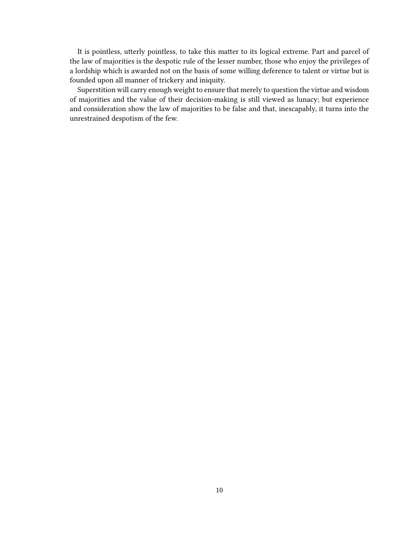It is pointless, utterly pointless, to take this matter to its logical extreme. Part and parcel of the law of majorities is the despotic rule of the lesser number, those who enjoy the privileges of a lordship which is awarded not on the basis of some willing deference to talent or virtue but is founded upon all manner of trickery and iniquity.

Superstition will carry enough weight to ensure that merely to question the virtue and wisdom of majorities and the value of their decision-making is still viewed as lunacy; but experience and consideration show the law of majorities to be false and that, inescapably, it turns into the unrestrained despotism of the few.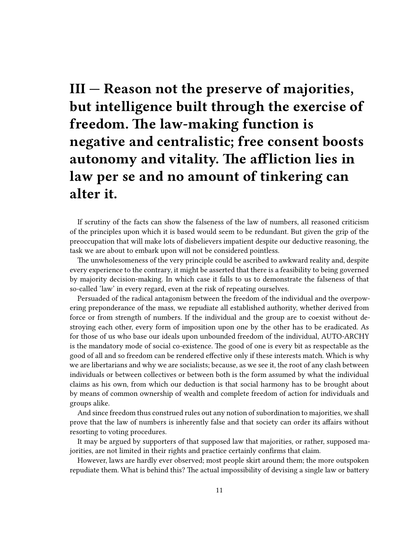# <span id="page-10-0"></span>**III — Reason not the preserve of majorities, but intelligence built through the exercise of freedom. The law-making function is negative and centralistic; free consent boosts autonomy and vitality. The affliction lies in law per se and no amount of tinkering can alter it.**

If scrutiny of the facts can show the falseness of the law of numbers, all reasoned criticism of the principles upon which it is based would seem to be redundant. But given the grip of the preoccupation that will make lots of disbelievers impatient despite our deductive reasoning, the task we are about to embark upon will not be considered pointless.

The unwholesomeness of the very principle could be ascribed to awkward reality and, despite every experience to the contrary, it might be asserted that there is a feasibility to being governed by majority decision-making. In which case it falls to us to demonstrate the falseness of that so-called 'law' in every regard, even at the risk of repeating ourselves.

Persuaded of the radical antagonism between the freedom of the individual and the overpowering preponderance of the mass, we repudiate all established authority, whether derived from force or from strength of numbers. If the individual and the group are to coexist without destroying each other, every form of imposition upon one by the other has to be eradicated. As for those of us who base our ideals upon unbounded freedom of the individual, AUTO-ARCHY is the mandatory mode of social co-existence. The good of one is every bit as respectable as the good of all and so freedom can be rendered effective only if these interests match. Which is why we are libertarians and why we are socialists; because, as we see it, the root of any clash between individuals or between collectives or between both is the form assumed by what the individual claims as his own, from which our deduction is that social harmony has to be brought about by means of common ownership of wealth and complete freedom of action for individuals and groups alike.

And since freedom thus construed rules out any notion of subordination to majorities, we shall prove that the law of numbers is inherently false and that society can order its affairs without resorting to voting procedures.

It may be argued by supporters of that supposed law that majorities, or rather, supposed majorities, are not limited in their rights and practice certainly confirms that claim.

However, laws are hardly ever observed; most people skirt around them; the more outspoken repudiate them. What is behind this? The actual impossibility of devising a single law or battery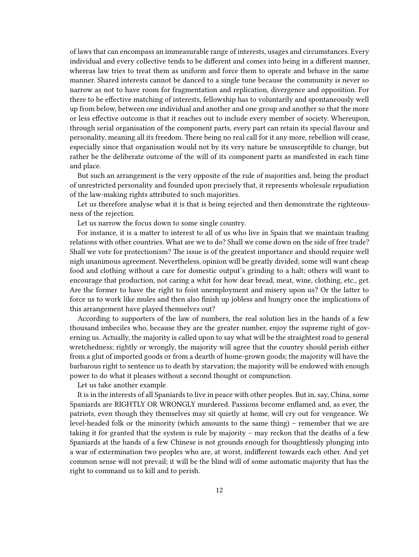of laws that can encompass an immeasurable range of interests, usages and circumstances. Every individual and every collective tends to be different and comes into being in a different manner, whereas law tries to treat them as uniform and force them to operate and behave in the same manner. Shared interests cannot be danced to a single tune because the community is never so narrow as not to have room for fragmentation and replication, divergence and opposition. For there to be effective matching of interests, fellowship has to voluntarily and spontaneously well up from below, between one individual and another and one group and another so that the more or less effective outcome is that it reaches out to include every member of society. Whereupon, through serial organisation of the component parts, every part can retain its special flavour and personality, meaning all its freedom. There being no real call for it any more, rebellion will cease, especially since that organisation would not by its very nature be unsusceptible to change, but rather be the deliberate outcome of the will of its component parts as manifested in each time and place.

But such an arrangement is the very opposite of the rule of majorities and, being the product of unrestricted personality and founded upon precisely that, it represents wholesale repudiation of the law-making rights attributed to such majorities.

Let us therefore analyse what it is that is being rejected and then demonstrate the righteousness of the rejection.

Let us narrow the focus down to some single country.

For instance, it is a matter to interest to all of us who live in Spain that we maintain trading relations with other countries. What are we to do? Shall we come down on the side of free trade? Shall we vote for protectionism? The issue is of the greatest importance and should require well nigh unanimous agreement. Nevertheless, opinion will be greatly divided; some will want cheap food and clothing without a care for domestic output's grinding to a halt; others will want to encourage that production, not caring a whit for how dear bread, meat, wine, clothing, etc., get. Are the former to have the right to foist unemployment and misery upon us? Or the latter to force us to work like mules and then also finish up jobless and hungry once the implications of this arrangement have played themselves out?

According to supporters of the law of numbers, the real solution lies in the hands of a few thousand imbeciles who, because they are the greater number, enjoy the supreme right of governing us. Actually, the majority is called upon to say what will be the straightest road to general wretchedness; rightly or wrongly, the majority will agree that the country should perish either from a glut of imported goods or from a dearth of home-grown goods; the majority will have the barbarous right to sentence us to death by starvation; the majority will be endowed with enough power to do what it pleases without a second thought or compunction.

Let us take another example.

It is in the interests of all Spaniards to live in peace with other peoples. But in, say, China, some Spaniards are RIGHTLY OR WRONGLY murdered. Passions become enflamed and, as ever, the patriots, even though they themselves may sit quietly at home, will cry out for vengeance. We level-headed folk or the minority (which amounts to the same thing) – remember that we are taking it for granted that the system is rule by majority – may reckon that the deaths of a few Spaniards at the hands of a few Chinese is not grounds enough for thoughtlessly plunging into a war of extermination two peoples who are, at worst, indifferent towards each other. And yet common sense will not prevail; it will be the blind will of some automatic majority that has the right to command us to kill and to perish.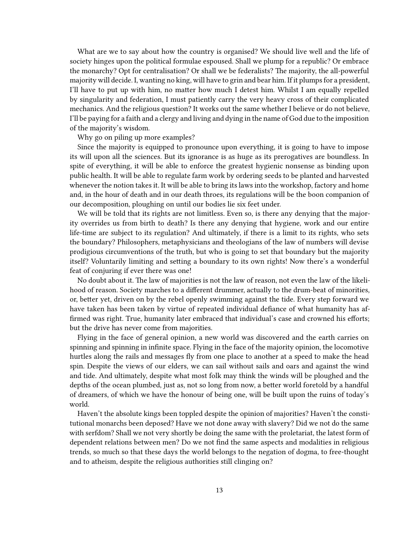What are we to say about how the country is organised? We should live well and the life of society hinges upon the political formulae espoused. Shall we plump for a republic? Or embrace the monarchy? Opt for centralisation? Or shall we be federalists? The majority, the all-powerful majority will decide. I, wanting no king, will have to grin and bear him. If it plumps for a president, I'll have to put up with him, no matter how much I detest him. Whilst I am equally repelled by singularity and federation, I must patiently carry the very heavy cross of their complicated mechanics. And the religious question? It works out the same whether I believe or do not believe, I'll be paying for a faith and a clergy and living and dying in the name of God due to the imposition of the majority's wisdom.

Why go on piling up more examples?

Since the majority is equipped to pronounce upon everything, it is going to have to impose its will upon all the sciences. But its ignorance is as huge as its prerogatives are boundless. In spite of everything, it will be able to enforce the greatest hygienic nonsense as binding upon public health. It will be able to regulate farm work by ordering seeds to be planted and harvested whenever the notion takes it. It will be able to bring its laws into the workshop, factory and home and, in the hour of death and in our death throes, its regulations will be the boon companion of our decomposition, ploughing on until our bodies lie six feet under.

We will be told that its rights are not limitless. Even so, is there any denying that the majority overrides us from birth to death? Is there any denying that hygiene, work and our entire life-time are subject to its regulation? And ultimately, if there is a limit to its rights, who sets the boundary? Philosophers, metaphysicians and theologians of the law of numbers will devise prodigious circumventions of the truth, but who is going to set that boundary but the majority itself? Voluntarily limiting and setting a boundary to its own rights! Now there's a wonderful feat of conjuring if ever there was one!

No doubt about it. The law of majorities is not the law of reason, not even the law of the likelihood of reason. Society marches to a different drummer, actually to the drum-beat of minorities, or, better yet, driven on by the rebel openly swimming against the tide. Every step forward we have taken has been taken by virtue of repeated individual defiance of what humanity has affirmed was right. True, humanity later embraced that individual's case and crowned his efforts; but the drive has never come from majorities.

Flying in the face of general opinion, a new world was discovered and the earth carries on spinning and spinning in infinite space. Flying in the face of the majority opinion, the locomotive hurtles along the rails and messages fly from one place to another at a speed to make the head spin. Despite the views of our elders, we can sail without sails and oars and against the wind and tide. And ultimately, despite what most folk may think the winds will be ploughed and the depths of the ocean plumbed, just as, not so long from now, a better world foretold by a handful of dreamers, of which we have the honour of being one, will be built upon the ruins of today's world.

Haven't the absolute kings been toppled despite the opinion of majorities? Haven't the constitutional monarchs been deposed? Have we not done away with slavery? Did we not do the same with serfdom? Shall we not very shortly be doing the same with the proletariat, the latest form of dependent relations between men? Do we not find the same aspects and modalities in religious trends, so much so that these days the world belongs to the negation of dogma, to free-thought and to atheism, despite the religious authorities still clinging on?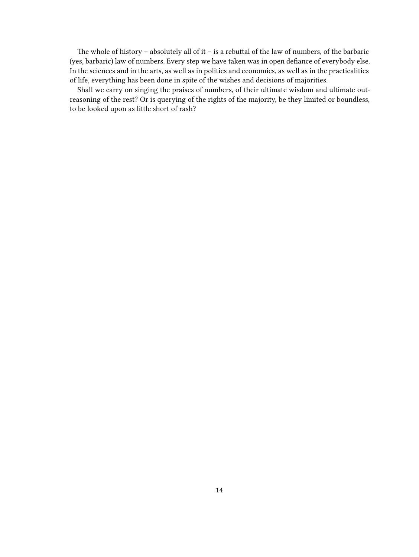The whole of history – absolutely all of it – is a rebuttal of the law of numbers, of the barbaric (yes, barbaric) law of numbers. Every step we have taken was in open defiance of everybody else. In the sciences and in the arts, as well as in politics and economics, as well as in the practicalities of life, everything has been done in spite of the wishes and decisions of majorities.

Shall we carry on singing the praises of numbers, of their ultimate wisdom and ultimate outreasoning of the rest? Or is querying of the rights of the majority, be they limited or boundless, to be looked upon as little short of rash?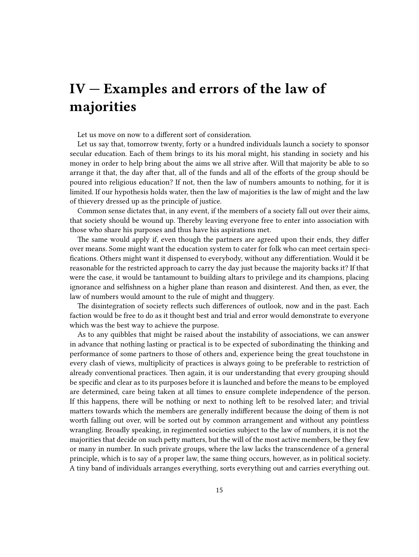#### <span id="page-14-0"></span>**IV — Examples and errors of the law of majorities**

Let us move on now to a different sort of consideration.

Let us say that, tomorrow twenty, forty or a hundred individuals launch a society to sponsor secular education. Each of them brings to its his moral might, his standing in society and his money in order to help bring about the aims we all strive after. Will that majority be able to so arrange it that, the day after that, all of the funds and all of the efforts of the group should be poured into religious education? If not, then the law of numbers amounts to nothing, for it is limited. If our hypothesis holds water, then the law of majorities is the law of might and the law of thievery dressed up as the principle of justice.

Common sense dictates that, in any event, if the members of a society fall out over their aims, that society should be wound up. Thereby leaving everyone free to enter into association with those who share his purposes and thus have his aspirations met.

The same would apply if, even though the partners are agreed upon their ends, they differ over means. Some might want the education system to cater for folk who can meet certain specifications. Others might want it dispensed to everybody, without any differentiation. Would it be reasonable for the restricted approach to carry the day just because the majority backs it? If that were the case, it would be tantamount to building altars to privilege and its champions, placing ignorance and selfishness on a higher plane than reason and disinterest. And then, as ever, the law of numbers would amount to the rule of might and thuggery.

The disintegration of society reflects such differences of outlook, now and in the past. Each faction would be free to do as it thought best and trial and error would demonstrate to everyone which was the best way to achieve the purpose.

As to any quibbles that might be raised about the instability of associations, we can answer in advance that nothing lasting or practical is to be expected of subordinating the thinking and performance of some partners to those of others and, experience being the great touchstone in every clash of views, multiplicity of practices is always going to be preferable to restriction of already conventional practices. Then again, it is our understanding that every grouping should be specific and clear as to its purposes before it is launched and before the means to be employed are determined, care being taken at all times to ensure complete independence of the person. If this happens, there will be nothing or next to nothing left to be resolved later; and trivial matters towards which the members are generally indifferent because the doing of them is not worth falling out over, will be sorted out by common arrangement and without any pointless wrangling. Broadly speaking, in regimented societies subject to the law of numbers, it is not the majorities that decide on such petty matters, but the will of the most active members, be they few or many in number. In such private groups, where the law lacks the transcendence of a general principle, which is to say of a proper law, the same thing occurs, however, as in political society. A tiny band of individuals arranges everything, sorts everything out and carries everything out.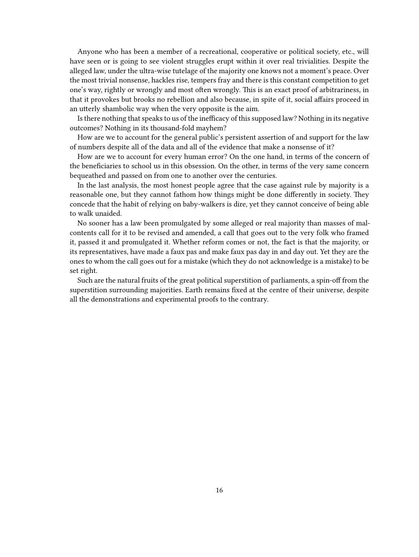Anyone who has been a member of a recreational, cooperative or political society, etc., will have seen or is going to see violent struggles erupt within it over real trivialities. Despite the alleged law, under the ultra-wise tutelage of the majority one knows not a moment's peace. Over the most trivial nonsense, hackles rise, tempers fray and there is this constant competition to get one's way, rightly or wrongly and most often wrongly. This is an exact proof of arbitrariness, in that it provokes but brooks no rebellion and also because, in spite of it, social affairs proceed in an utterly shambolic way when the very opposite is the aim.

Is there nothing that speaks to us of the inefficacy of this supposed law? Nothing in its negative outcomes? Nothing in its thousand-fold mayhem?

How are we to account for the general public's persistent assertion of and support for the law of numbers despite all of the data and all of the evidence that make a nonsense of it?

How are we to account for every human error? On the one hand, in terms of the concern of the beneficiaries to school us in this obsession. On the other, in terms of the very same concern bequeathed and passed on from one to another over the centuries.

In the last analysis, the most honest people agree that the case against rule by majority is a reasonable one, but they cannot fathom how things might be done differently in society. They concede that the habit of relying on baby-walkers is dire, yet they cannot conceive of being able to walk unaided.

No sooner has a law been promulgated by some alleged or real majority than masses of malcontents call for it to be revised and amended, a call that goes out to the very folk who framed it, passed it and promulgated it. Whether reform comes or not, the fact is that the majority, or its representatives, have made a faux pas and make faux pas day in and day out. Yet they are the ones to whom the call goes out for a mistake (which they do not acknowledge is a mistake) to be set right.

Such are the natural fruits of the great political superstition of parliaments, a spin-off from the superstition surrounding majorities. Earth remains fixed at the centre of their universe, despite all the demonstrations and experimental proofs to the contrary.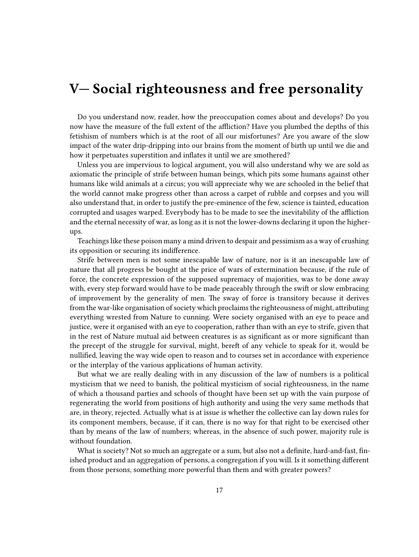#### <span id="page-16-0"></span>**V— Social righteousness and free personality**

Do you understand now, reader, how the preoccupation comes about and develops? Do you now have the measure of the full extent of the affliction? Have you plumbed the depths of this fetishism of numbers which is at the root of all our misfortunes? Are you aware of the slow impact of the water drip-dripping into our brains from the moment of birth up until we die and how it perpetuates superstition and inflates it until we are smothered?

Unless you are impervious to logical argument, you will also understand why we are sold as axiomatic the principle of strife between human beings, which pits some humans against other humans like wild animals at a circus; you will appreciate why we are schooled in the belief that the world cannot make progress other than across a carpet of rubble and corpses and you will also understand that, in order to justify the pre-eminence of the few, science is tainted, education corrupted and usages warped. Everybody has to be made to see the inevitability of the affliction and the eternal necessity of war, as long as it is not the lower-downs declaring it upon the higherups.

Teachings like these poison many a mind driven to despair and pessimism as a way of crushing its opposition or securing its indifference.

Strife between men is not some inescapable law of nature, nor is it an inescapable law of nature that all progress be bought at the price of wars of extermination because, if the rule of force, the concrete expression of the supposed supremacy of majorities, was to be done away with, every step forward would have to be made peaceably through the swift or slow embracing of improvement by the generality of men. The sway of force is transitory because it derives from the war-like organisation of society which proclaims the righteousness of might, attributing everything wrested from Nature to cunning. Were society organised with an eye to peace and justice, were it organised with an eye to cooperation, rather than with an eye to strife, given that in the rest of Nature mutual aid between creatures is as significant as or more significant than the precept of the struggle for survival, might, bereft of any vehicle to speak for it, would be nullified, leaving the way wide open to reason and to courses set in accordance with experience or the interplay of the various applications of human activity.

But what we are really dealing with in any discussion of the law of numbers is a political mysticism that we need to banish, the political mysticism of social righteousness, in the name of which a thousand parties and schools of thought have been set up with the vain purpose of regenerating the world from positions of high authority and using the very same methods that are, in theory, rejected. Actually what is at issue is whether the collective can lay down rules for its component members, because, if it can, there is no way for that right to be exercised other than by means of the law of numbers; whereas, in the absence of such power, majority rule is without foundation.

What is society? Not so much an aggregate or a sum, but also not a definite, hard-and-fast, finished product and an aggregation of persons, a congregation if you will. Is it something different from those persons, something more powerful than them and with greater powers?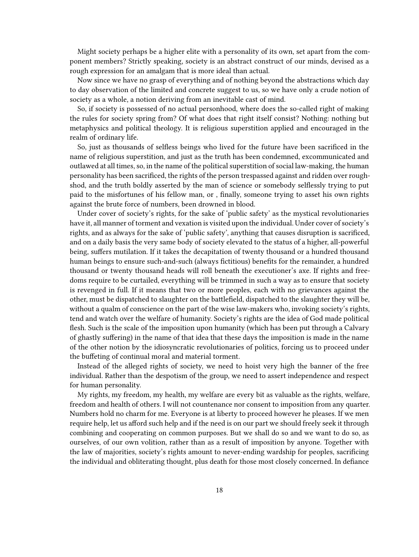Might society perhaps be a higher elite with a personality of its own, set apart from the component members? Strictly speaking, society is an abstract construct of our minds, devised as a rough expression for an amalgam that is more ideal than actual.

Now since we have no grasp of everything and of nothing beyond the abstractions which day to day observation of the limited and concrete suggest to us, so we have only a crude notion of society as a whole, a notion deriving from an inevitable cast of mind.

So, if society is possessed of no actual personhood, where does the so-called right of making the rules for society spring from? Of what does that right itself consist? Nothing: nothing but metaphysics and political theology. It is religious superstition applied and encouraged in the realm of ordinary life.

So, just as thousands of selfless beings who lived for the future have been sacrificed in the name of religious superstition, and just as the truth has been condemned, excommunicated and outlawed at all times, so, in the name of the political superstition of social law-making, the human personality has been sacrificed, the rights of the person trespassed against and ridden over roughshod, and the truth boldly asserted by the man of science or somebody selflessly trying to put paid to the misfortunes of his fellow man, or , finally, someone trying to asset his own rights against the brute force of numbers, been drowned in blood.

Under cover of society's rights, for the sake of 'public safety' as the mystical revolutionaries have it, all manner of torment and vexation is visited upon the individual. Under cover of society's rights, and as always for the sake of 'public safety', anything that causes disruption is sacrificed, and on a daily basis the very same body of society elevated to the status of a higher, all-powerful being, suffers mutilation. If it takes the decapitation of twenty thousand or a hundred thousand human beings to ensure such-and-such (always fictitious) benefits for the remainder, a hundred thousand or twenty thousand heads will roll beneath the executioner's axe. If rights and freedoms require to be curtailed, everything will be trimmed in such a way as to ensure that society is revenged in full. If it means that two or more peoples, each with no grievances against the other, must be dispatched to slaughter on the battlefield, dispatched to the slaughter they will be, without a qualm of conscience on the part of the wise law-makers who, invoking society's rights, tend and watch over the welfare of humanity. Society's rights are the idea of God made political flesh. Such is the scale of the imposition upon humanity (which has been put through a Calvary of ghastly suffering) in the name of that idea that these days the imposition is made in the name of the other notion by the idiosyncratic revolutionaries of politics, forcing us to proceed under the buffeting of continual moral and material torment.

Instead of the alleged rights of society, we need to hoist very high the banner of the free individual. Rather than the despotism of the group, we need to assert independence and respect for human personality.

My rights, my freedom, my health, my welfare are every bit as valuable as the rights, welfare, freedom and health of others. I will not countenance nor consent to imposition from any quarter. Numbers hold no charm for me. Everyone is at liberty to proceed however he pleases. If we men require help, let us afford such help and if the need is on our part we should freely seek it through combining and cooperating on common purposes. But we shall do so and we want to do so, as ourselves, of our own volition, rather than as a result of imposition by anyone. Together with the law of majorities, society's rights amount to never-ending wardship for peoples, sacrificing the individual and obliterating thought, plus death for those most closely concerned. In defiance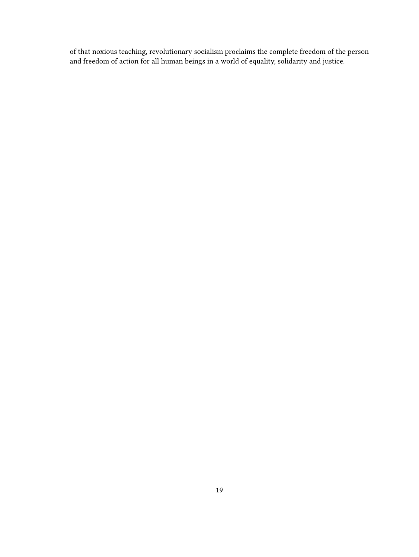of that noxious teaching, revolutionary socialism proclaims the complete freedom of the person and freedom of action for all human beings in a world of equality, solidarity and justice.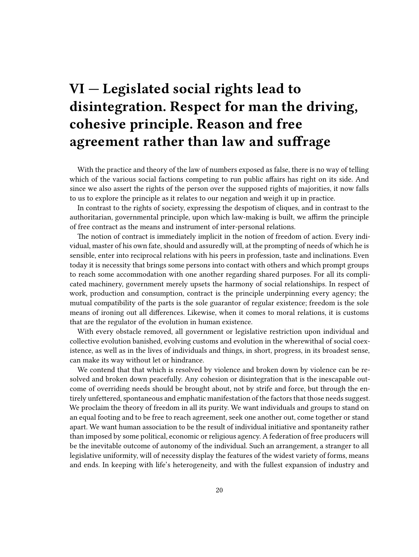# <span id="page-19-0"></span>**VI — Legislated social rights lead to disintegration. Respect for man the driving, cohesive principle. Reason and free agreement rather than law and suffrage**

With the practice and theory of the law of numbers exposed as false, there is no way of telling which of the various social factions competing to run public affairs has right on its side. And since we also assert the rights of the person over the supposed rights of majorities, it now falls to us to explore the principle as it relates to our negation and weigh it up in practice.

In contrast to the rights of society, expressing the despotism of cliques, and in contrast to the authoritarian, governmental principle, upon which law-making is built, we affirm the principle of free contract as the means and instrument of inter-personal relations.

The notion of contract is immediately implicit in the notion of freedom of action. Every individual, master of his own fate, should and assuredly will, at the prompting of needs of which he is sensible, enter into reciprocal relations with his peers in profession, taste and inclinations. Even today it is necessity that brings some persons into contact with others and which prompt groups to reach some accommodation with one another regarding shared purposes. For all its complicated machinery, government merely upsets the harmony of social relationships. In respect of work, production and consumption, contract is the principle underpinning every agency; the mutual compatibility of the parts is the sole guarantor of regular existence; freedom is the sole means of ironing out all differences. Likewise, when it comes to moral relations, it is customs that are the regulator of the evolution in human existence.

With every obstacle removed, all government or legislative restriction upon individual and collective evolution banished, evolving customs and evolution in the wherewithal of social coexistence, as well as in the lives of individuals and things, in short, progress, in its broadest sense, can make its way without let or hindrance.

We contend that that which is resolved by violence and broken down by violence can be resolved and broken down peacefully. Any cohesion or disintegration that is the inescapable outcome of overriding needs should be brought about, not by strife and force, but through the entirely unfettered, spontaneous and emphatic manifestation of the factors that those needs suggest. We proclaim the theory of freedom in all its purity. We want individuals and groups to stand on an equal footing and to be free to reach agreement, seek one another out, come together or stand apart. We want human association to be the result of individual initiative and spontaneity rather than imposed by some political, economic or religious agency. A federation of free producers will be the inevitable outcome of autonomy of the individual. Such an arrangement, a stranger to all legislative uniformity, will of necessity display the features of the widest variety of forms, means and ends. In keeping with life's heterogeneity, and with the fullest expansion of industry and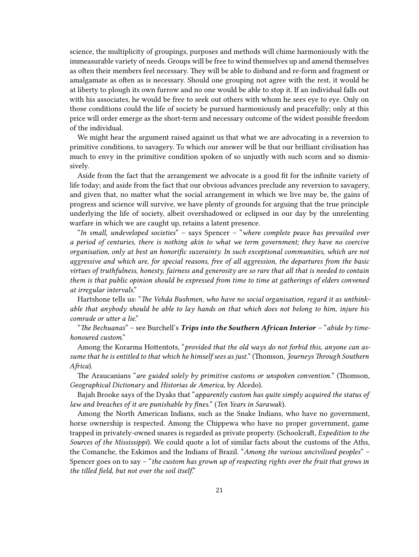science, the multiplicity of groupings, purposes and methods will chime harmoniously with the immeasurable variety of needs. Groups will be free to wind themselves up and amend themselves as often their members feel necessary. They will be able to disband and re-form and fragment or amalgamate as often as is necessary. Should one grouping not agree with the rest, it would be at liberty to plough its own furrow and no one would be able to stop it. If an individual falls out with his associates, he would be free to seek out others with whom he sees eye to eye. Only on those conditions could the life of society be pursued harmoniously and peacefully; only at this price will order emerge as the short-term and necessary outcome of the widest possible freedom of the individual.

We might hear the argument raised against us that what we are advocating is a reversion to primitive conditions, to savagery. To which our answer will be that our brilliant civilisation has much to envy in the primitive condition spoken of so unjustly with such scorn and so dismissively.

Aside from the fact that the arrangement we advocate is a good fit for the infinite variety of life today; and aside from the fact that our obvious advances preclude any reversion to savagery, and given that, no matter what the social arrangement in which we live may be, the gains of progress and science will survive, we have plenty of grounds for arguing that the true principle underlying the life of society, albeit overshadowed or eclipsed in our day by the unrelenting warfare in which we are caught up, retains a latent presence.

"*In small, undeveloped societies*" – says Spencer – "*where complete peace has prevailed over a period of centuries, there is nothing akin to what we term government; they have no coercive organisation, only at best an honorific suzerainty. In such exceptional communities, which are not aggressive and which are, for special reasons, free of all aggression, the departures from the basic virtues of truthfulness, honesty, fairness and generosity are so rare that all that is needed to contain them is that public opinion should be expressed from time to time at gatherings of elders convened at irregular intervals*."

Hartshone tells us: "*The Vehda Bushmen, who have no social organisation, regard it as unthinkable that anybody should be able to lay hands on that which does not belong to him, injure his comrade or utter a lie*."

"*The Bechuanas*" – see Burchell's *Trips into the Southern African Interior* – "*abide by timehonoured custom*."

Among the Korarma Hottentots, "*provided that the old ways do not forbid this, anyone can assume that he is entitled to that which he himself sees as just.*" (Thomson, *Journeys Through Southern Africa*).

The Araucanians "*are guided solely by primitive customs or unspoken convention.*" (Thomson, *Geographical Dictionary* and *Historias de America*, by Alcedo).

Bajah Brooke says of the Dyaks that "*apparently custom has quite simply acquired the status of law and breaches of it are punishable by fines.*" (*Ten Years in Sarawak*).

Among the North American Indians, such as the Snake Indians, who have no government, horse ownership is respected. Among the Chippewa who have no proper government, game trapped in privately-owned snares is regarded as private property. (Schoolcraft, *Expedition to the Sources of the Mississippi*). We could quote a lot of similar facts about the customs of the Aths, the Comanche, the Eskimos and the Indians of Brazil. "*Among the various uncivilised peoples*" – Spencer goes on to say – "*the custom has grown up of respecting rights over the fruit that grows in the tilled field, but not over the soil itself*."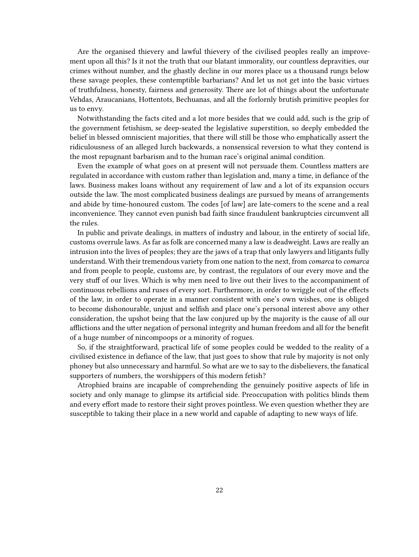Are the organised thievery and lawful thievery of the civilised peoples really an improvement upon all this? Is it not the truth that our blatant immorality, our countless depravities, our crimes without number, and the ghastly decline in our mores place us a thousand rungs below these savage peoples, these contemptible barbarians? And let us not get into the basic virtues of truthfulness, honesty, fairness and generosity. There are lot of things about the unfortunate Vehdas, Araucanians, Hottentots, Bechuanas, and all the forlornly brutish primitive peoples for us to envy.

Notwithstanding the facts cited and a lot more besides that we could add, such is the grip of the government fetishism, se deep-seated the legislative superstition, so deeply embedded the belief in blessed omniscient majorities, that there will still be those who emphatically assert the ridiculousness of an alleged lurch backwards, a nonsensical reversion to what they contend is the most repugnant barbarism and to the human race's original animal condition.

Even the example of what goes on at present will not persuade them. Countless matters are regulated in accordance with custom rather than legislation and, many a time, in defiance of the laws. Business makes loans without any requirement of law and a lot of its expansion occurs outside the law. The most complicated business dealings are pursued by means of arrangements and abide by time-honoured custom. The codes [of law] are late-comers to the scene and a real inconvenience. They cannot even punish bad faith since fraudulent bankruptcies circumvent all the rules.

In public and private dealings, in matters of industry and labour, in the entirety of social life, customs overrule laws. As far as folk are concerned many a law is deadweight. Laws are really an intrusion into the lives of peoples; they are the jaws of a trap that only lawyers and litigants fully understand. With their tremendous variety from one nation to the next, from *comarca* to *comarca* and from people to people, customs are, by contrast, the regulators of our every move and the very stuff of our lives. Which is why men need to live out their lives to the accompaniment of continuous rebellions and ruses of every sort. Furthermore, in order to wriggle out of the effects of the law, in order to operate in a manner consistent with one's own wishes, one is obliged to become dishonourable, unjust and selfish and place one's personal interest above any other consideration, the upshot being that the law conjured up by the majority is the cause of all our afflictions and the utter negation of personal integrity and human freedom and all for the benefit of a huge number of nincompoops or a minority of rogues.

So, if the straightforward, practical life of some peoples could be wedded to the reality of a civilised existence in defiance of the law, that just goes to show that rule by majority is not only phoney but also unnecessary and harmful. So what are we to say to the disbelievers, the fanatical supporters of numbers, the worshippers of this modern fetish?

Atrophied brains are incapable of comprehending the genuinely positive aspects of life in society and only manage to glimpse its artificial side. Preoccupation with politics blinds them and every effort made to restore their sight proves pointless. We even question whether they are susceptible to taking their place in a new world and capable of adapting to new ways of life.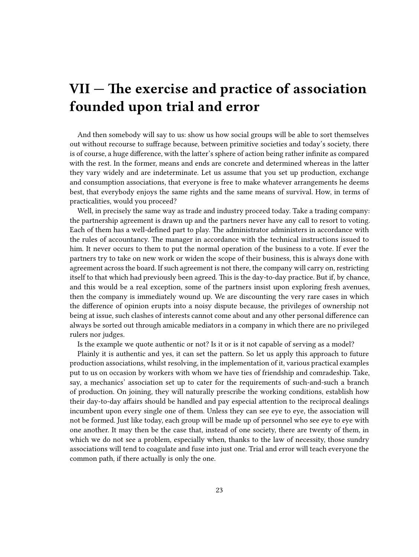#### <span id="page-22-0"></span>**VII — The exercise and practice of association founded upon trial and error**

And then somebody will say to us: show us how social groups will be able to sort themselves out without recourse to suffrage because, between primitive societies and today's society, there is of course, a huge difference, with the latter's sphere of action being rather infinite as compared with the rest. In the former, means and ends are concrete and determined whereas in the latter they vary widely and are indeterminate. Let us assume that you set up production, exchange and consumption associations, that everyone is free to make whatever arrangements he deems best, that everybody enjoys the same rights and the same means of survival. How, in terms of practicalities, would you proceed?

Well, in precisely the same way as trade and industry proceed today. Take a trading company: the partnership agreement is drawn up and the partners never have any call to resort to voting. Each of them has a well-defined part to play. The administrator administers in accordance with the rules of accountancy. The manager in accordance with the technical instructions issued to him. It never occurs to them to put the normal operation of the business to a vote. If ever the partners try to take on new work or widen the scope of their business, this is always done with agreement across the board. If such agreement is not there, the company will carry on, restricting itself to that which had previously been agreed. This is the day-to-day practice. But if, by chance, and this would be a real exception, some of the partners insist upon exploring fresh avenues, then the company is immediately wound up. We are discounting the very rare cases in which the difference of opinion erupts into a noisy dispute because, the privileges of ownership not being at issue, such clashes of interests cannot come about and any other personal difference can always be sorted out through amicable mediators in a company in which there are no privileged rulers nor judges.

Is the example we quote authentic or not? Is it or is it not capable of serving as a model?

Plainly it is authentic and yes, it can set the pattern. So let us apply this approach to future production associations, whilst resolving, in the implementation of it, various practical examples put to us on occasion by workers with whom we have ties of friendship and comradeship. Take, say, a mechanics' association set up to cater for the requirements of such-and-such a branch of production. On joining, they will naturally prescribe the working conditions, establish how their day-to-day affairs should be handled and pay especial attention to the reciprocal dealings incumbent upon every single one of them. Unless they can see eye to eye, the association will not be formed. Just like today, each group will be made up of personnel who see eye to eye with one another. It may then be the case that, instead of one society, there are twenty of them, in which we do not see a problem, especially when, thanks to the law of necessity, those sundry associations will tend to coagulate and fuse into just one. Trial and error will teach everyone the common path, if there actually is only the one.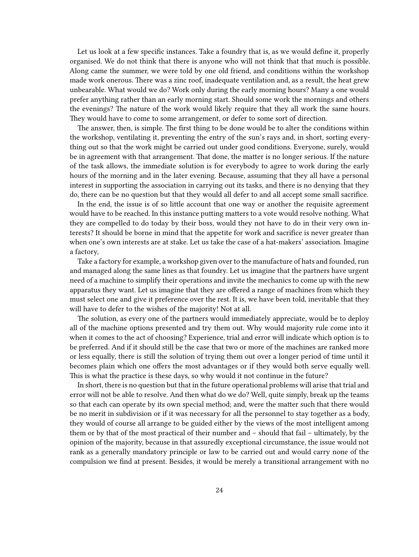Let us look at a few specific instances. Take a foundry that is, as we would define it, properly organised. We do not think that there is anyone who will not think that that much is possible. Along came the summer, we were told by one old friend, and conditions within the workshop made work onerous. There was a zinc roof, inadequate ventilation and, as a result, the heat grew unbearable. What would we do? Work only during the early morning hours? Many a one would prefer anything rather than an early morning start. Should some work the mornings and others the evenings? The nature of the work would likely require that they all work the same hours. They would have to come to some arrangement, or defer to some sort of direction.

The answer, then, is simple. The first thing to be done would be to alter the conditions within the workshop, ventilating it, preventing the entry of the sun's rays and, in short, sorting everything out so that the work might be carried out under good conditions. Everyone, surely, would be in agreement with that arrangement. That done, the matter is no longer serious. If the nature of the task allows, the immediate solution is for everybody to agree to work during the early hours of the morning and in the later evening. Because, assuming that they all have a personal interest in supporting the association in carrying out its tasks, and there is no denying that they do, there can be no question but that they would all defer to and all accept some small sacrifice.

In the end, the issue is of so little account that one way or another the requisite agreement would have to be reached. In this instance putting matters to a vote would resolve nothing. What they are compelled to do today by their boss, would they not have to do in their very own interests? It should be borne in mind that the appetite for work and sacrifice is never greater than when one's own interests are at stake. Let us take the case of a hat-makers' association. Imagine a factory,

Take a factory for example, a workshop given over to the manufacture of hats and founded, run and managed along the same lines as that foundry. Let us imagine that the partners have urgent need of a machine to simplify their operations and invite the mechanics to come up with the new apparatus they want. Let us imagine that they are offered a range of machines from which they must select one and give it preference over the rest. It is, we have been told, inevitable that they will have to defer to the wishes of the majority! Not at all.

The solution, as every one of the partners would immediately appreciate, would be to deploy all of the machine options presented and try them out. Why would majority rule come into it when it comes to the act of choosing? Experience, trial and error will indicate which option is to be preferred. And if it should still be the case that two or more of the machines are ranked more or less equally, there is still the solution of trying them out over a longer period of time until it becomes plain which one offers the most advantages or if they would both serve equally well. This is what the practice is these days, so why would it not continue in the future?

In short, there is no question but that in the future operational problems will arise that trial and error will not be able to resolve. And then what do we do? Well, quite simply, break up the teams so that each can operate by its own special method; and, were the matter such that there would be no merit in subdivision or if it was necessary for all the personnel to stay together as a body, they would of course all arrange to be guided either by the views of the most intelligent among them or by that of the most practical of their number and – should that fail – ultimately, by the opinion of the majority, because in that assuredly exceptional circumstance, the issue would not rank as a generally mandatory principle or law to be carried out and would carry none of the compulsion we find at present. Besides, it would be merely a transitional arrangement with no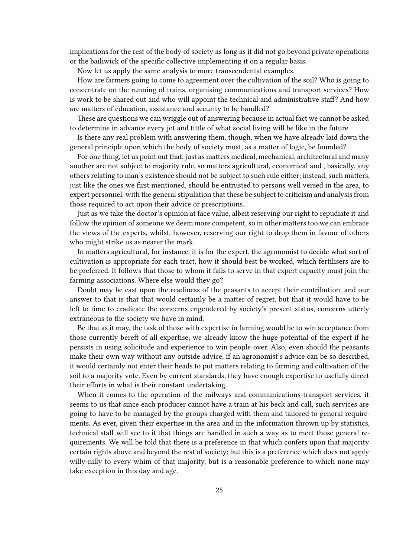implications for the rest of the body of society as long as it did not go beyond private operations or the bailiwick of the specific collective implementing it on a regular basis.

Now let us apply the same analysis to more transcendental examples.

How are farmers going to come to agreement over the cultivation of the soil? Who is going to concentrate on the running of trains, organising communications and transport services? How is work to be shared out and who will appoint the technical and administrative staff? And how are matters of education, assistance and security to be handled?

These are questions we can wriggle out of answering because in actual fact we cannot be asked to determine in advance every jot and tittle of what social living will be like in the future.

Is there any real problem with answering them, though, when we have already laid down the general principle upon which the body of society must, as a matter of logic, be founded?

For one thing, let us point out that, just as matters medical, mechanical, architectural and many another are not subject to majority rule, so matters agricultural, economical and , basically, any others relating to man's existence should not be subject to such rule either; instead, such matters, just like the ones we first mentioned, should be entrusted to persons well versed in the area, to expert personnel, with the general stipulation that these be subject to criticism and analysis from those required to act upon their advice or prescriptions.

Just as we take the doctor's opinion at face value, albeit reserving our right to repudiate it and follow the opinion of someone we deem more competent, so in other matters too we can embrace the views of the experts, whilst, however, reserving our right to drop them in favour of others who might strike us as nearer the mark.

In matters agricultural, for instance, it is for the expert, the agronomist to decide what sort of cultivation is appropriate for each tract, how it should best be worked, which fertilisers are to be preferred. It follows that those to whom it falls to serve in that expert capacity must join the farming associations. Where else would they go?

Doubt may be cast upon the readiness of the peasants to accept their contribution, and our answer to that is that that would certainly be a matter of regret, but that it would have to be left to time to eradicate the concerns engendered by society's present status, concerns utterly extraneous to the society we have in mind.

Be that as it may, the task of those with expertise in farming would be to win acceptance from those currently bereft of all expertise; we already know the huge potential of the expert if he persists in using solicitude and experience to win people over. Also, even should the peasants make their own way without any outside advice, if an agronomist's advice can be so described, it would certainly not enter their heads to put matters relating to farming and cultivation of the soil to a majority vote. Even by current standards, they have enough expertise to usefully direct their efforts in what is their constant undertaking.

When it comes to the operation of the railways and communications-transport services, it seems to us that since each producer cannot have a train at his beck and call, such services are going to have to be managed by the groups charged with them and tailored to general requirements. As ever, given their expertise in the area and in the information thrown up by statistics, technical staff will see to it that things are handled in such a way as to meet those general requirements. We will be told that there is a preference in that which confers upon that majority certain rights above and beyond the rest of society; but this is a preference which does not apply willy-nilly to every whim of that majority, but is a reasonable preference to which none may take exception in this day and age.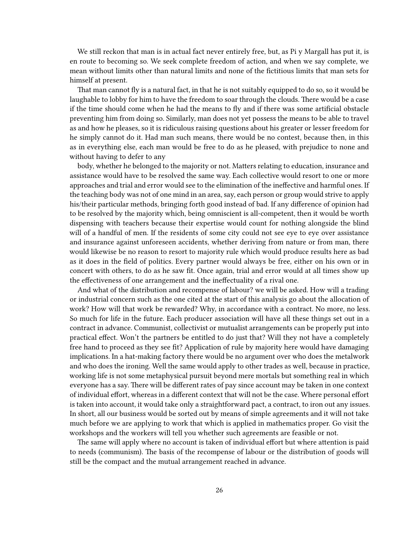We still reckon that man is in actual fact never entirely free, but, as Pi y Margall has put it, is en route to becoming so. We seek complete freedom of action, and when we say complete, we mean without limits other than natural limits and none of the fictitious limits that man sets for himself at present.

That man cannot fly is a natural fact, in that he is not suitably equipped to do so, so it would be laughable to lobby for him to have the freedom to soar through the clouds. There would be a case if the time should come when he had the means to fly and if there was some artificial obstacle preventing him from doing so. Similarly, man does not yet possess the means to be able to travel as and how he pleases, so it is ridiculous raising questions about his greater or lesser freedom for he simply cannot do it. Had man such means, there would be no contest, because then, in this as in everything else, each man would be free to do as he pleased, with prejudice to none and without having to defer to any

body, whether he belonged to the majority or not. Matters relating to education, insurance and assistance would have to be resolved the same way. Each collective would resort to one or more approaches and trial and error would see to the elimination of the ineffective and harmful ones. If the teaching body was not of one mind in an area, say, each person or group would strive to apply his/their particular methods, bringing forth good instead of bad. If any difference of opinion had to be resolved by the majority which, being omniscient is all-competent, then it would be worth dispensing with teachers because their expertise would count for nothing alongside the blind will of a handful of men. If the residents of some city could not see eye to eye over assistance and insurance against unforeseen accidents, whether deriving from nature or from man, there would likewise be no reason to resort to majority rule which would produce results here as bad as it does in the field of politics. Every partner would always be free, either on his own or in concert with others, to do as he saw fit. Once again, trial and error would at all times show up the effectiveness of one arrangement and the ineffectuality of a rival one.

And what of the distribution and recompense of labour? we will be asked. How will a trading or industrial concern such as the one cited at the start of this analysis go about the allocation of work? How will that work be rewarded? Why, in accordance with a contract. No more, no less. So much for life in the future. Each producer association will have all these things set out in a contract in advance. Communist, collectivist or mutualist arrangements can be properly put into practical effect. Won't the partners be entitled to do just that? Will they not have a completely free hand to proceed as they see fit? Application of rule by majority here would have damaging implications. In a hat-making factory there would be no argument over who does the metalwork and who does the ironing. Well the same would apply to other trades as well, because in practice, working life is not some metaphysical pursuit beyond mere mortals but something real in which everyone has a say. There will be different rates of pay since account may be taken in one context of individual effort, whereas in a different context that will not be the case. Where personal effort is taken into account, it would take only a straightforward pact, a contract, to iron out any issues. In short, all our business would be sorted out by means of simple agreements and it will not take much before we are applying to work that which is applied in mathematics proper. Go visit the workshops and the workers will tell you whether such agreements are feasible or not.

The same will apply where no account is taken of individual effort but where attention is paid to needs (communism). The basis of the recompense of labour or the distribution of goods will still be the compact and the mutual arrangement reached in advance.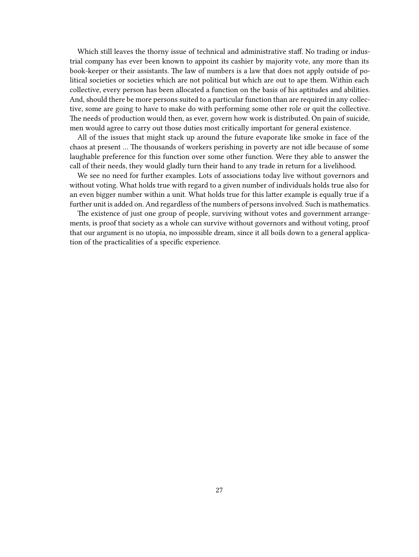Which still leaves the thorny issue of technical and administrative staff. No trading or industrial company has ever been known to appoint its cashier by majority vote, any more than its book-keeper or their assistants. The law of numbers is a law that does not apply outside of political societies or societies which are not political but which are out to ape them. Within each collective, every person has been allocated a function on the basis of his aptitudes and abilities. And, should there be more persons suited to a particular function than are required in any collective, some are going to have to make do with performing some other role or quit the collective. The needs of production would then, as ever, govern how work is distributed. On pain of suicide, men would agree to carry out those duties most critically important for general existence.

All of the issues that might stack up around the future evaporate like smoke in face of the chaos at present … The thousands of workers perishing in poverty are not idle because of some laughable preference for this function over some other function. Were they able to answer the call of their needs, they would gladly turn their hand to any trade in return for a livelihood.

We see no need for further examples. Lots of associations today live without governors and without voting. What holds true with regard to a given number of individuals holds true also for an even bigger number within a unit. What holds true for this latter example is equally true if a further unit is added on. And regardless of the numbers of persons involved. Such is mathematics.

The existence of just one group of people, surviving without votes and government arrangements, is proof that society as a whole can survive without governors and without voting, proof that our argument is no utopia, no impossible dream, since it all boils down to a general application of the practicalities of a specific experience.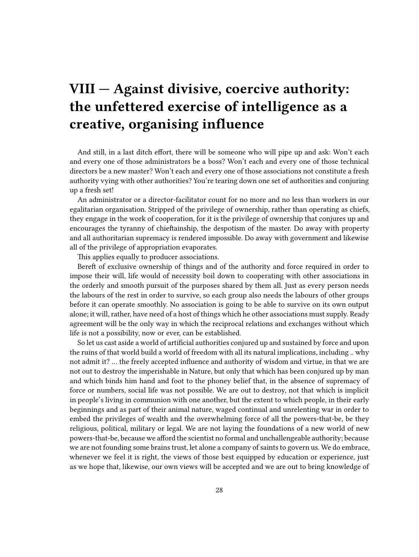## <span id="page-27-0"></span>**VIII — Against divisive, coercive authority: the unfettered exercise of intelligence as a creative, organising influence**

And still, in a last ditch effort, there will be someone who will pipe up and ask: Won't each and every one of those administrators be a boss? Won't each and every one of those technical directors be a new master? Won't each and every one of those associations not constitute a fresh authority vying with other authorities? You're tearing down one set of authorities and conjuring up a fresh set!

An administrator or a director-facilitator count for no more and no less than workers in our egalitarian organisation. Stripped of the privilege of ownership, rather than operating as chiefs, they engage in the work of cooperation, for it is the privilege of ownership that conjures up and encourages the tyranny of chieftainship, the despotism of the master. Do away with property and all authoritarian supremacy is rendered impossible. Do away with government and likewise all of the privilege of appropriation evaporates.

This applies equally to producer associations.

Bereft of exclusive ownership of things and of the authority and force required in order to impose their will, life would of necessity boil down to cooperating with other associations in the orderly and smooth pursuit of the purposes shared by them all. Just as every person needs the labours of the rest in order to survive, so each group also needs the labours of other groups before it can operate smoothly. No association is going to be able to survive on its own output alone; it will, rather, have need of a host of things which he other associations must supply. Ready agreement will be the only way in which the reciprocal relations and exchanges without which life is not a possibility, now or ever, can be established.

So let us cast aside a world of artificial authorities conjured up and sustained by force and upon the ruins of that world build a world of freedom with all its natural implications, including .. why not admit it? … the freely accepted influence and authority of wisdom and virtue, in that we are not out to destroy the imperishable in Nature, but only that which has been conjured up by man and which binds him hand and foot to the phoney belief that, in the absence of supremacy of force or numbers, social life was not possible. We are out to destroy, not that which is implicit in people's living in communion with one another, but the extent to which people, in their early beginnings and as part of their animal nature, waged continual and unrelenting war in order to embed the privileges of wealth and the overwhelming force of all the powers-that-be, be they religious, political, military or legal. We are not laying the foundations of a new world of new powers-that-be, because we afford the scientist no formal and unchallengeable authority; because we are not founding some brains trust, let alone a company of saints to govern us. We do embrace, whenever we feel it is right, the views of those best equipped by education or experience, just as we hope that, likewise, our own views will be accepted and we are out to bring knowledge of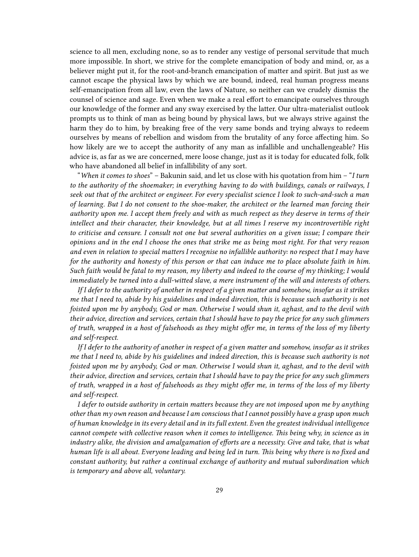science to all men, excluding none, so as to render any vestige of personal servitude that much more impossible. In short, we strive for the complete emancipation of body and mind, or, as a believer might put it, for the root-and-branch emancipation of matter and spirit. But just as we cannot escape the physical laws by which we are bound, indeed, real human progress means self-emancipation from all law, even the laws of Nature, so neither can we crudely dismiss the counsel of science and sage. Even when we make a real effort to emancipate ourselves through our knowledge of the former and any sway exercised by the latter. Our ultra-materialist outlook prompts us to think of man as being bound by physical laws, but we always strive against the harm they do to him, by breaking free of the very same bonds and trying always to redeem ourselves by means of rebellion and wisdom from the brutality of any force affecting him. So how likely are we to accept the authority of any man as infallible and unchallengeable? His advice is, as far as we are concerned, mere loose change, just as it is today for educated folk, folk who have abandoned all belief in infallibility of any sort.

"*When it comes to shoes*" – Bakunin said, and let us close with his quotation from him – "*I turn to the authority of the shoemaker; in everything having to do with buildings, canals or railways, I seek out that of the architect or engineer. For every specialist science I look to such-and-such a man of learning. But I do not consent to the shoe-maker, the architect or the learned man forcing their authority upon me. I accept them freely and with as much respect as they deserve in terms of their intellect and their character, their knowledge, but at all times I reserve my incontrovertible right to criticise and censure. I consult not one but several authorities on a given issue; I compare their opinions and in the end I choose the ones that strike me as being most right. For that very reason and even in relation to special matters I recognise no infallible authority: no respect that I may have for the authority and honesty of this person or that can induce me to place absolute faith in him. Such faith would be fatal to my reason, my liberty and indeed to the course of my thinking; I would immediately be turned into a dull-witted slave, a mere instrument of the will and interests of others.*

*If I defer to the authority of another in respect of a given matter and somehow, insofar as it strikes me that I need to, abide by his guidelines and indeed direction, this is because such authority is not foisted upon me by anybody, God or man. Otherwise I would shun it, aghast, and to the devil with their advice, direction and services, certain that I should have to pay the price for any such glimmers of truth, wrapped in a host of falsehoods as they might offer me, in terms of the loss of my liberty and self-respect.*

*If I defer to the authority of another in respect of a given matter and somehow, insofar as it strikes me that I need to, abide by his guidelines and indeed direction, this is because such authority is not foisted upon me by anybody, God or man. Otherwise I would shun it, aghast, and to the devil with their advice, direction and services, certain that I should have to pay the price for any such glimmers of truth, wrapped in a host of falsehoods as they might offer me, in terms of the loss of my liberty and self-respect.*

*I defer to outside authority in certain matters because they are not imposed upon me by anything other than my own reason and because I am conscious that I cannot possibly have a grasp upon much of human knowledge in its every detail and in its full extent. Even the greatest individual intelligence cannot compete with collective reason when it comes to intelligence. This being why, in science as in industry alike, the division and amalgamation of efforts are a necessity. Give and take, that is what human life is all about. Everyone leading and being led in turn. This being why there is no fixed and constant authority, but rather a continual exchange of authority and mutual subordination which is temporary and above all, voluntary.*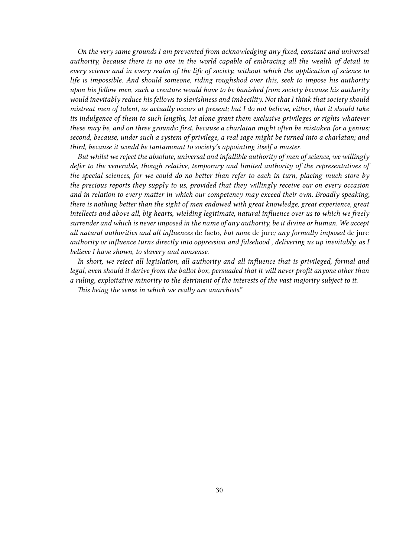*On the very same grounds I am prevented from acknowledging any fixed, constant and universal authority, because there is no one in the world capable of embracing all the wealth of detail in every science and in every realm of the life of society, without which the application of science to life is impossible. And should someone, riding roughshod over this, seek to impose his authority upon his fellow men, such a creature would have to be banished from society because his authority would inevitably reduce his fellows to slavishness and imbecility. Not that I think that society should mistreat men of talent, as actually occurs at present; but I do not believe, either, that it should take its indulgence of them to such lengths, let alone grant them exclusive privileges or rights whatever these may be, and on three grounds: first, because a charlatan might often be mistaken for a genius; second, because, under such a system of privilege, a real sage might be turned into a charlatan; and third, because it would be tantamount to society's appointing itself a master.*

*But whilst we reject the absolute, universal and infallible authority of men of science, we willingly defer to the venerable, though relative, temporary and limited authority of the representatives of the special sciences, for we could do no better than refer to each in turn, placing much store by the precious reports they supply to us, provided that they willingly receive our on every occasion and in relation to every matter in which our competency may exceed their own. Broadly speaking, there is nothing better than the sight of men endowed with great knowledge, great experience, great intellects and above all, big hearts, wielding legitimate, natural influence over us to which we freely surrender and which is never imposed in the name of any authority, be it divine or human. We accept all natural authorities and all influences* de facto*, but none* de jure*; any formally imposed* de jure *authority or influence turns directly into oppression and falsehood , delivering us up inevitably, as I believe I have shown, to slavery and nonsense.*

*In short, we reject all legislation, all authority and all influence that is privileged, formal and legal, even should it derive from the ballot box, persuaded that it will never profit anyone other than a ruling, exploitative minority to the detriment of the interests of the vast majority subject to it. This being the sense in which we really are anarchists*."